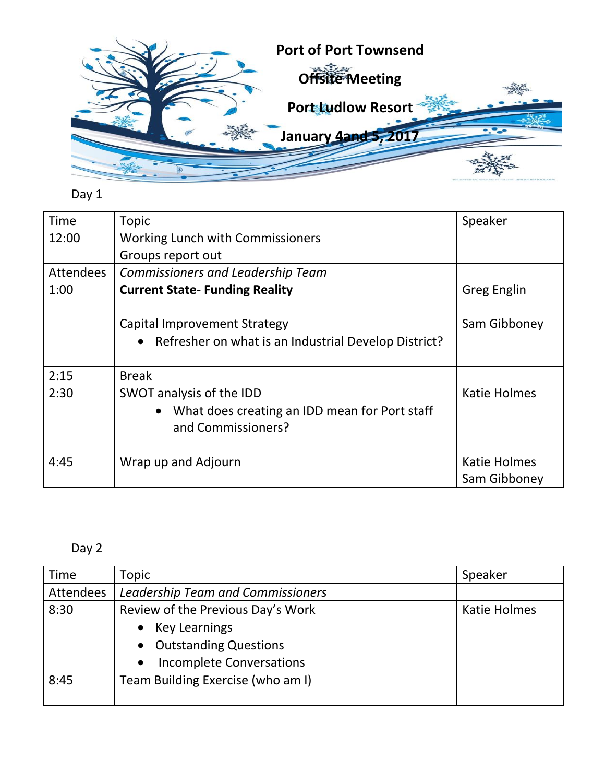

## Day 1

| <b>Time</b> | Topic                                                                                           | Speaker             |
|-------------|-------------------------------------------------------------------------------------------------|---------------------|
| 12:00       | Working Lunch with Commissioners                                                                |                     |
|             | Groups report out                                                                               |                     |
| Attendees   | <b>Commissioners and Leadership Team</b>                                                        |                     |
| 1:00        | <b>Current State-Funding Reality</b>                                                            | <b>Greg Englin</b>  |
|             | <b>Capital Improvement Strategy</b><br>• Refresher on what is an Industrial Develop District?   | Sam Gibboney        |
| 2:15        | <b>Break</b>                                                                                    |                     |
| 2:30        | SWOT analysis of the IDD<br>What does creating an IDD mean for Port staff<br>and Commissioners? | Katie Holmes        |
| 4:45        | Wrap up and Adjourn                                                                             | <b>Katie Holmes</b> |
|             |                                                                                                 | Sam Gibboney        |

## Day 2

| <b>Time</b> | Topic                                    | Speaker      |
|-------------|------------------------------------------|--------------|
| Attendees   | <b>Leadership Team and Commissioners</b> |              |
| 8:30        | Review of the Previous Day's Work        | Katie Holmes |
|             | <b>Key Learnings</b>                     |              |
|             | <b>Outstanding Questions</b>             |              |
|             | <b>Incomplete Conversations</b>          |              |
| 8:45        | Team Building Exercise (who am I)        |              |
|             |                                          |              |